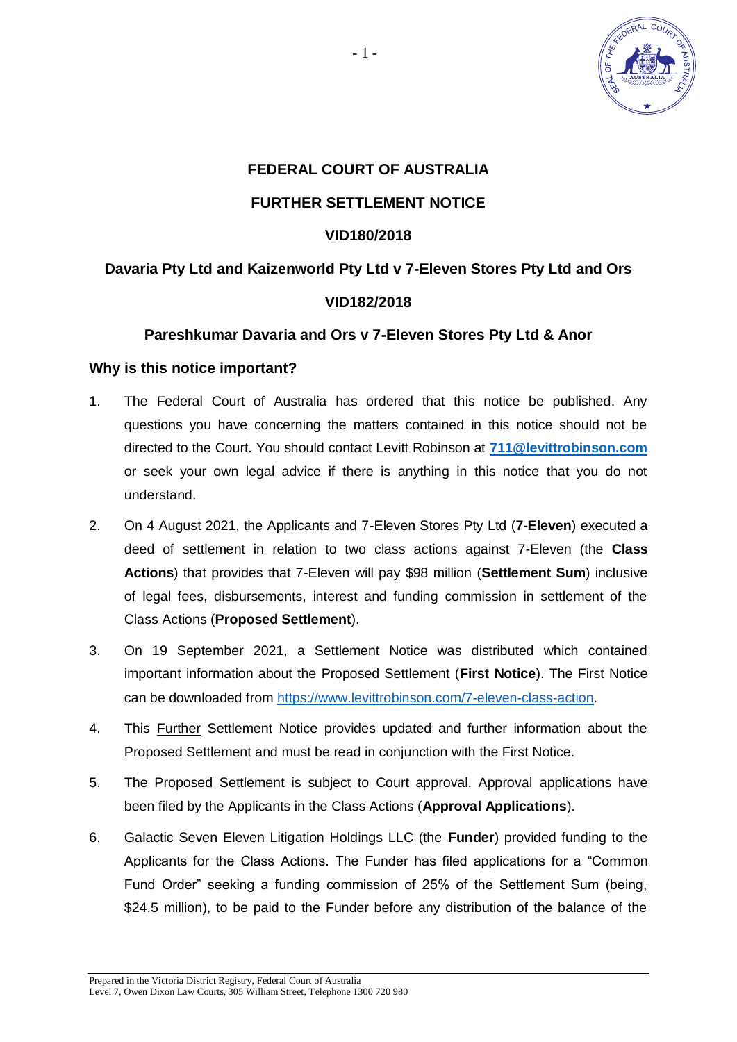

# **FEDERAL COURT OF AUSTRALIA FURTHER SETTLEMENT NOTICE**

### **VID180/2018**

# **Davaria Pty Ltd and Kaizenworld Pty Ltd v 7-Eleven Stores Pty Ltd and Ors VID182/2018**

#### **Pareshkumar Davaria and Ors v 7-Eleven Stores Pty Ltd & Anor**

#### **Why is this notice important?**

- 1. The Federal Court of Australia has ordered that this notice be published. Any questions you have concerning the matters contained in this notice should not be directed to the Court. You should contact Levitt Robinson at **[711@levittrobinson.com](mailto:711@levittrobinson.com)** or seek your own legal advice if there is anything in this notice that you do not understand.
- 2. On 4 August 2021, the Applicants and 7-Eleven Stores Pty Ltd (**7-Eleven**) executed a deed of settlement in relation to two class actions against 7-Eleven (the **Class Actions**) that provides that 7-Eleven will pay \$98 million (**Settlement Sum**) inclusive of legal fees, disbursements, interest and funding commission in settlement of the Class Actions (**Proposed Settlement**).
- 3. On 19 September 2021, a Settlement Notice was distributed which contained important information about the Proposed Settlement (**First Notice**). The First Notice can be downloaded from [https://www.levittrobinson.com/7-eleven-class-action.](https://www.levittrobinson.com/7-eleven-class-action)
- 4. This Further Settlement Notice provides updated and further information about the Proposed Settlement and must be read in conjunction with the First Notice.
- 5. The Proposed Settlement is subject to Court approval. Approval applications have been filed by the Applicants in the Class Actions (**Approval Applications**).
- 6. Galactic Seven Eleven Litigation Holdings LLC (the **Funder**) provided funding to the Applicants for the Class Actions. The Funder has filed applications for a "Common Fund Order" seeking a funding commission of 25% of the Settlement Sum (being, \$24.5 million), to be paid to the Funder before any distribution of the balance of the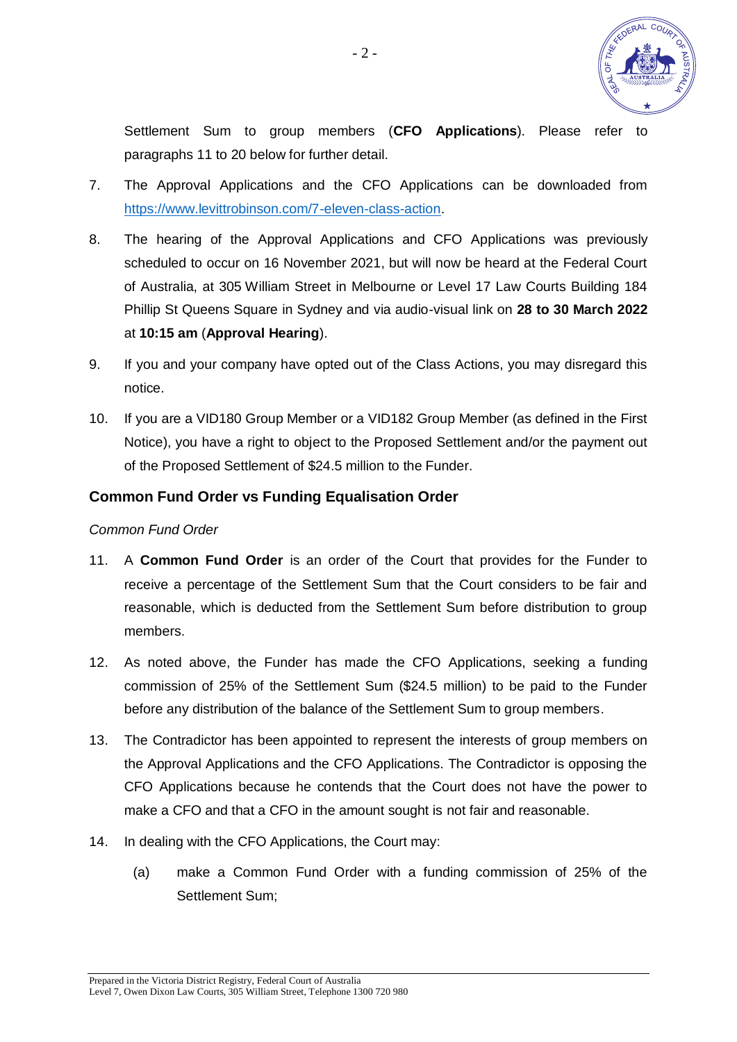

Settlement Sum to group members (**CFO Applications**). Please refer to paragraphs [11](#page-1-0) to [20](#page-2-0) below for further detail.

- 7. The Approval Applications and the CFO Applications can be downloaded from [https://www.levittrobinson.com/7-eleven-class-action.](https://www.levittrobinson.com/7-eleven-class-action)
- 8. The hearing of the Approval Applications and CFO Applications was previously scheduled to occur on 16 November 2021, but will now be heard at the Federal Court of Australia, at 305 William Street in Melbourne or Level 17 Law Courts Building 184 Phillip St Queens Square in Sydney and via audio-visual link on **28 to 30 March 2022** at **10:15 am** (**Approval Hearing**).
- 9. If you and your company have opted out of the Class Actions, you may disregard this notice.
- 10. If you are a VID180 Group Member or a VID182 Group Member (as defined in the First Notice), you have a right to object to the Proposed Settlement and/or the payment out of the Proposed Settlement of \$24.5 million to the Funder.

#### **Common Fund Order vs Funding Equalisation Order**

*Common Fund Order* 

- <span id="page-1-0"></span>11. A **Common Fund Order** is an order of the Court that provides for the Funder to receive a percentage of the Settlement Sum that the Court considers to be fair and reasonable, which is deducted from the Settlement Sum before distribution to group members.
- 12. As noted above, the Funder has made the CFO Applications, seeking a funding commission of 25% of the Settlement Sum (\$24.5 million) to be paid to the Funder before any distribution of the balance of the Settlement Sum to group members.
- 13. The Contradictor has been appointed to represent the interests of group members on the Approval Applications and the CFO Applications. The Contradictor is opposing the CFO Applications because he contends that the Court does not have the power to make a CFO and that a CFO in the amount sought is not fair and reasonable.
- 14. In dealing with the CFO Applications, the Court may:
	- (a) make a Common Fund Order with a funding commission of 25% of the Settlement Sum;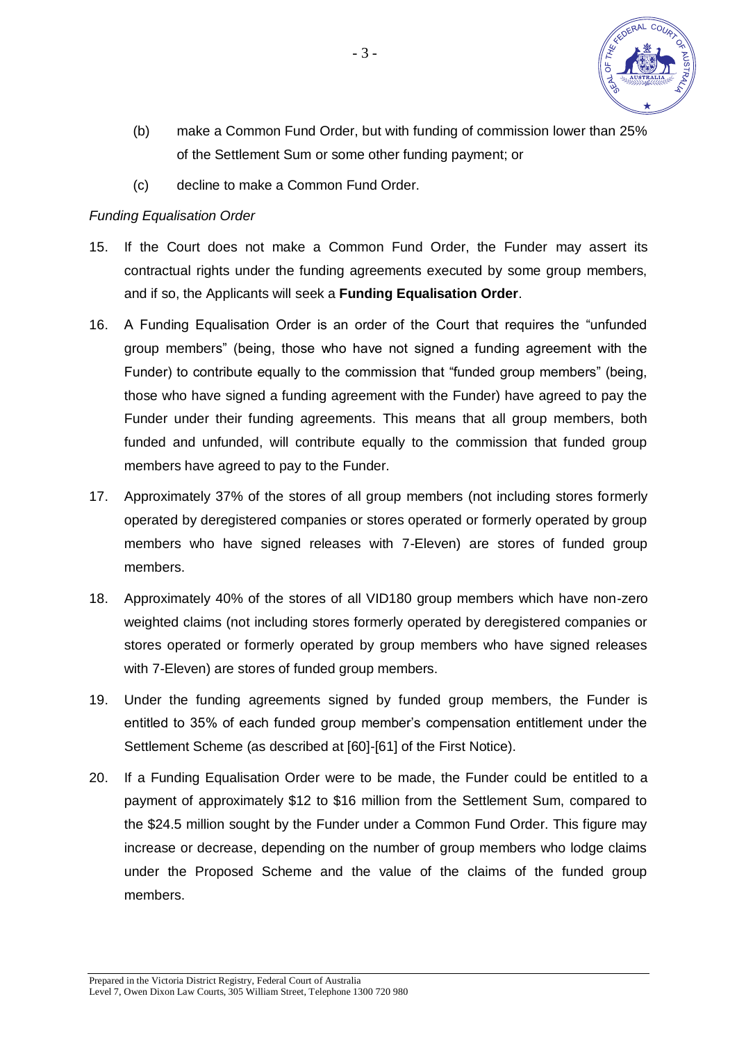

- (b) make a Common Fund Order, but with funding of commission lower than 25% of the Settlement Sum or some other funding payment; or
- (c) decline to make a Common Fund Order.

#### *Funding Equalisation Order*

- 15. If the Court does not make a Common Fund Order, the Funder may assert its contractual rights under the funding agreements executed by some group members, and if so, the Applicants will seek a **Funding Equalisation Order**.
- 16. A Funding Equalisation Order is an order of the Court that requires the "unfunded group members" (being, those who have not signed a funding agreement with the Funder) to contribute equally to the commission that "funded group members" (being, those who have signed a funding agreement with the Funder) have agreed to pay the Funder under their funding agreements. This means that all group members, both funded and unfunded, will contribute equally to the commission that funded group members have agreed to pay to the Funder.
- 17. Approximately 37% of the stores of all group members (not including stores formerly operated by deregistered companies or stores operated or formerly operated by group members who have signed releases with 7-Eleven) are stores of funded group members.
- 18. Approximately 40% of the stores of all VID180 group members which have non-zero weighted claims (not including stores formerly operated by deregistered companies or stores operated or formerly operated by group members who have signed releases with 7-Eleven) are stores of funded group members.
- 19. Under the funding agreements signed by funded group members, the Funder is entitled to 35% of each funded group member's compensation entitlement under the Settlement Scheme (as described at [60]-[61] of the First Notice).
- <span id="page-2-0"></span>20. If a Funding Equalisation Order were to be made, the Funder could be entitled to a payment of approximately \$12 to \$16 million from the Settlement Sum, compared to the \$24.5 million sought by the Funder under a Common Fund Order. This figure may increase or decrease, depending on the number of group members who lodge claims under the Proposed Scheme and the value of the claims of the funded group members.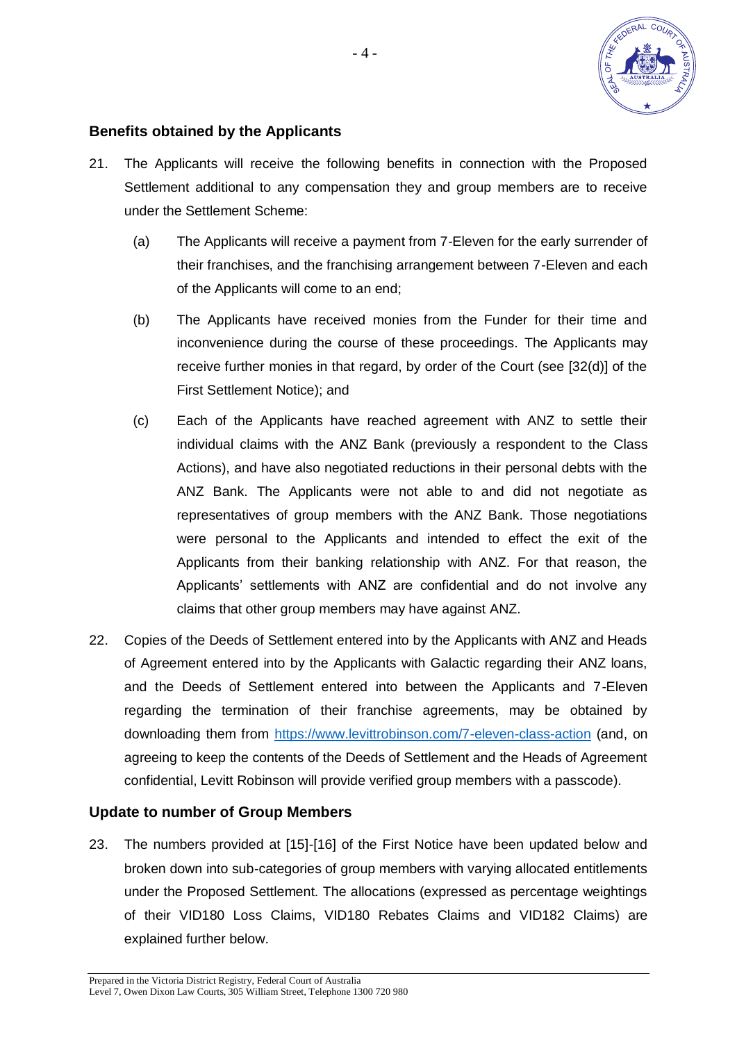

#### **Benefits obtained by the Applicants**

- 21. The Applicants will receive the following benefits in connection with the Proposed Settlement additional to any compensation they and group members are to receive under the Settlement Scheme:
	- (a) The Applicants will receive a payment from 7-Eleven for the early surrender of their franchises, and the franchising arrangement between 7-Eleven and each of the Applicants will come to an end;
	- (b) The Applicants have received monies from the Funder for their time and inconvenience during the course of these proceedings. The Applicants may receive further monies in that regard, by order of the Court (see [32(d)] of the First Settlement Notice); and
	- (c) Each of the Applicants have reached agreement with ANZ to settle their individual claims with the ANZ Bank (previously a respondent to the Class Actions), and have also negotiated reductions in their personal debts with the ANZ Bank. The Applicants were not able to and did not negotiate as representatives of group members with the ANZ Bank. Those negotiations were personal to the Applicants and intended to effect the exit of the Applicants from their banking relationship with ANZ. For that reason, the Applicants' settlements with ANZ are confidential and do not involve any claims that other group members may have against ANZ.
- 22. Copies of the Deeds of Settlement entered into by the Applicants with ANZ and Heads of Agreement entered into by the Applicants with Galactic regarding their ANZ loans, and the Deeds of Settlement entered into between the Applicants and 7-Eleven regarding the termination of their franchise agreements, may be obtained by downloading them from<https://www.levittrobinson.com/7-eleven-class-action>(and, on agreeing to keep the contents of the Deeds of Settlement and the Heads of Agreement confidential, Levitt Robinson will provide verified group members with a passcode).

#### **Update to number of Group Members**

23. The numbers provided at [15]-[16] of the First Notice have been updated below and broken down into sub-categories of group members with varying allocated entitlements under the Proposed Settlement. The allocations (expressed as percentage weightings of their VID180 Loss Claims, VID180 Rebates Claims and VID182 Claims) are explained further below.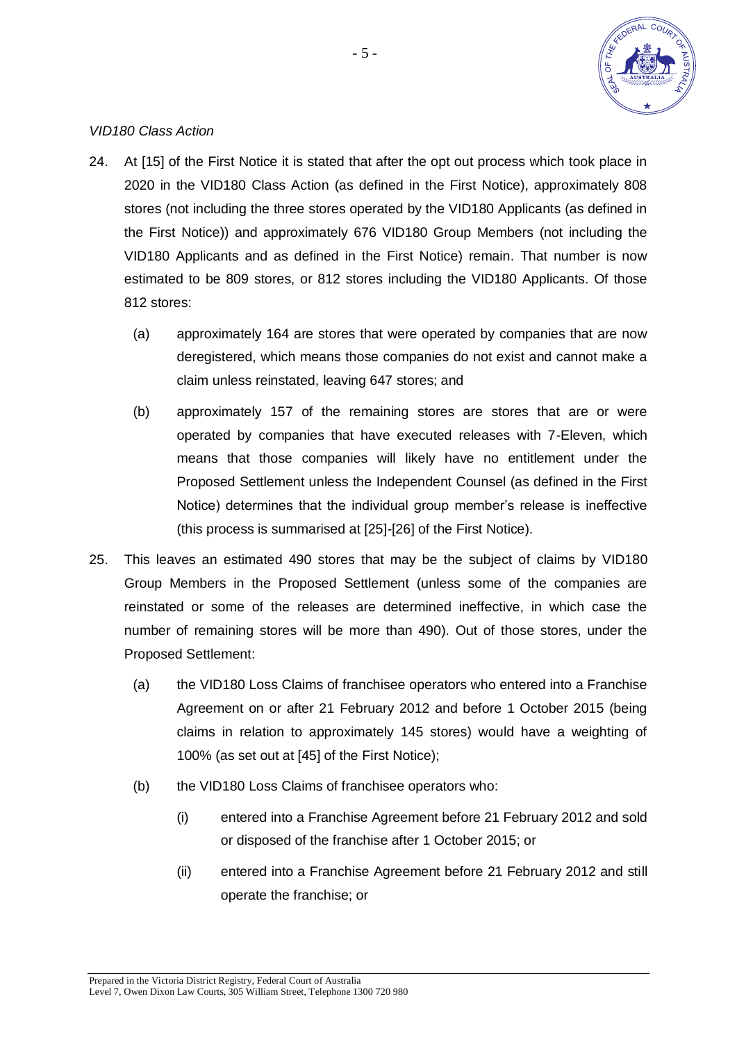

#### *VID180 Class Action*

- 24. At [15] of the First Notice it is stated that after the opt out process which took place in 2020 in the VID180 Class Action (as defined in the First Notice), approximately 808 stores (not including the three stores operated by the VID180 Applicants (as defined in the First Notice)) and approximately 676 VID180 Group Members (not including the VID180 Applicants and as defined in the First Notice) remain. That number is now estimated to be 809 stores, or 812 stores including the VID180 Applicants. Of those 812 stores:
	- (a) approximately 164 are stores that were operated by companies that are now deregistered, which means those companies do not exist and cannot make a claim unless reinstated, leaving 647 stores; and
	- (b) approximately 157 of the remaining stores are stores that are or were operated by companies that have executed releases with 7-Eleven, which means that those companies will likely have no entitlement under the Proposed Settlement unless the Independent Counsel (as defined in the First Notice) determines that the individual group member's release is ineffective (this process is summarised at [25]-[26] of the First Notice).
- 25. This leaves an estimated 490 stores that may be the subject of claims by VID180 Group Members in the Proposed Settlement (unless some of the companies are reinstated or some of the releases are determined ineffective, in which case the number of remaining stores will be more than 490). Out of those stores, under the Proposed Settlement:
	- (a) the VID180 Loss Claims of franchisee operators who entered into a Franchise Agreement on or after 21 February 2012 and before 1 October 2015 (being claims in relation to approximately 145 stores) would have a weighting of 100% (as set out at [45] of the First Notice);
	- (b) the VID180 Loss Claims of franchisee operators who:
		- (i) entered into a Franchise Agreement before 21 February 2012 and sold or disposed of the franchise after 1 October 2015; or
		- (ii) entered into a Franchise Agreement before 21 February 2012 and still operate the franchise; or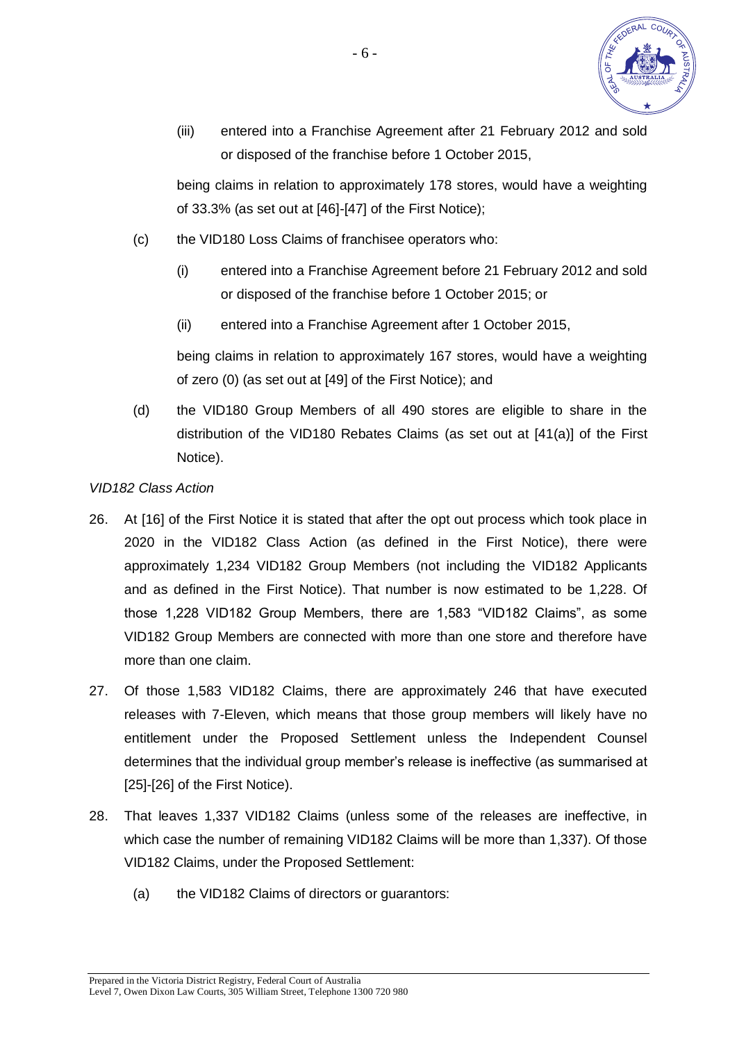

(iii) entered into a Franchise Agreement after 21 February 2012 and sold or disposed of the franchise before 1 October 2015,

being claims in relation to approximately 178 stores, would have a weighting of 33.3% (as set out at [46]-[47] of the First Notice);

- (c) the VID180 Loss Claims of franchisee operators who:
	- (i) entered into a Franchise Agreement before 21 February 2012 and sold or disposed of the franchise before 1 October 2015; or
	- (ii) entered into a Franchise Agreement after 1 October 2015,

being claims in relation to approximately 167 stores, would have a weighting of zero (0) (as set out at [49] of the First Notice); and

(d) the VID180 Group Members of all 490 stores are eligible to share in the distribution of the VID180 Rebates Claims (as set out at [41(a)] of the First Notice).

#### *VID182 Class Action*

- 26. At [16] of the First Notice it is stated that after the opt out process which took place in 2020 in the VID182 Class Action (as defined in the First Notice), there were approximately 1,234 VID182 Group Members (not including the VID182 Applicants and as defined in the First Notice). That number is now estimated to be 1,228. Of those 1,228 VID182 Group Members, there are 1,583 "VID182 Claims", as some VID182 Group Members are connected with more than one store and therefore have more than one claim.
- 27. Of those 1,583 VID182 Claims, there are approximately 246 that have executed releases with 7-Eleven, which means that those group members will likely have no entitlement under the Proposed Settlement unless the Independent Counsel determines that the individual group member's release is ineffective (as summarised at [25]-[26] of the First Notice).
- 28. That leaves 1,337 VID182 Claims (unless some of the releases are ineffective, in which case the number of remaining VID182 Claims will be more than 1,337). Of those VID182 Claims, under the Proposed Settlement:
	- (a) the VID182 Claims of directors or guarantors: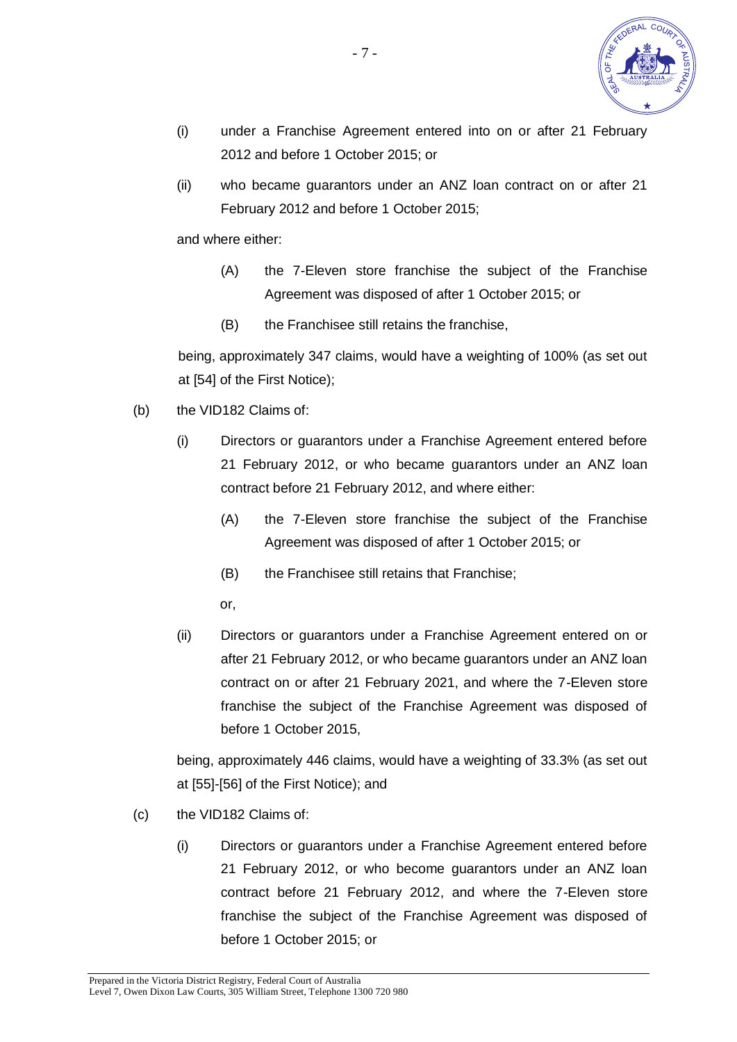

- (i) under a Franchise Agreement entered into on or after 21 February 2012 and before 1 October 2015; or
- (ii) who became guarantors under an ANZ loan contract on or after 21 February 2012 and before 1 October 2015;

and where either:

- (A) the 7-Eleven store franchise the subject of the Franchise Agreement was disposed of after 1 October 2015; or
- (B) the Franchisee still retains the franchise,

being, approximately 347 claims, would have a weighting of 100% (as set out at [54] of the First Notice);

- (b) the VID182 Claims of:
	- (i) Directors or guarantors under a Franchise Agreement entered before 21 February 2012, or who became guarantors under an ANZ loan contract before 21 February 2012, and where either:
		- (A) the 7-Eleven store franchise the subject of the Franchise Agreement was disposed of after 1 October 2015; or
		- (B) the Franchisee still retains that Franchise;

or,

(ii) Directors or guarantors under a Franchise Agreement entered on or after 21 February 2012, or who became guarantors under an ANZ loan contract on or after 21 February 2021, and where the 7-Eleven store franchise the subject of the Franchise Agreement was disposed of before 1 October 2015,

being, approximately 446 claims, would have a weighting of 33.3% (as set out at [55]-[56] of the First Notice); and

- (c) the VID182 Claims of:
	- (i) Directors or guarantors under a Franchise Agreement entered before 21 February 2012, or who become guarantors under an ANZ loan contract before 21 February 2012, and where the 7-Eleven store franchise the subject of the Franchise Agreement was disposed of before 1 October 2015; or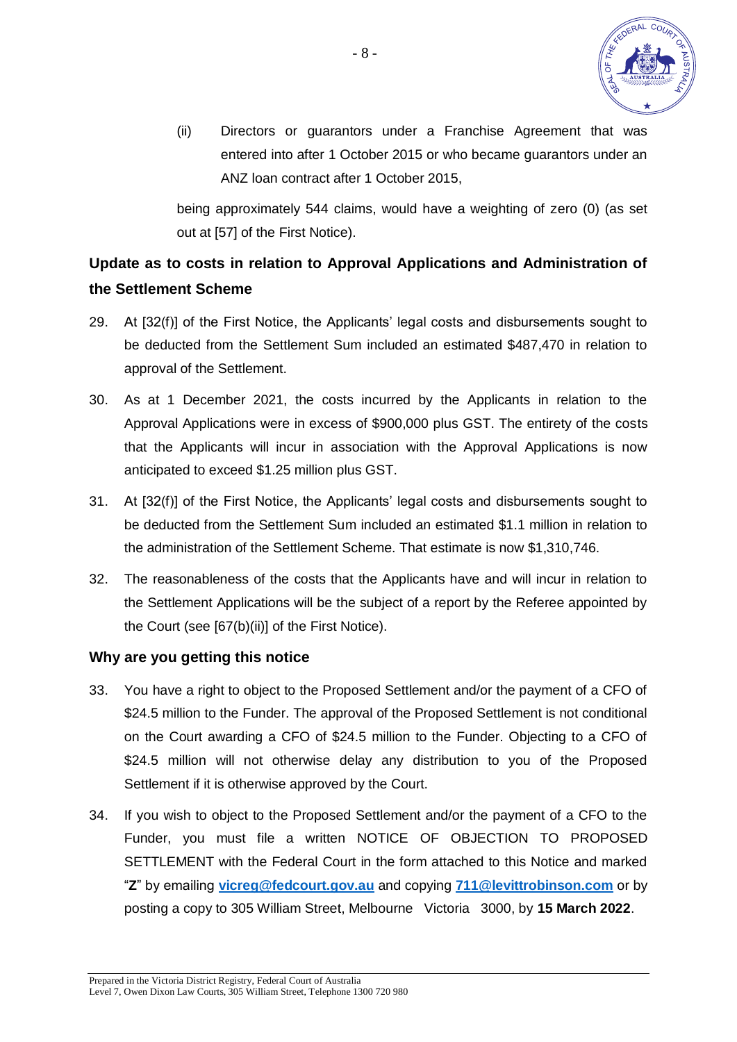

(ii) Directors or guarantors under a Franchise Agreement that was entered into after 1 October 2015 or who became guarantors under an ANZ loan contract after 1 October 2015,

being approximately 544 claims, would have a weighting of zero (0) (as set out at [57] of the First Notice).

# **Update as to costs in relation to Approval Applications and Administration of the Settlement Scheme**

- 29. At [32(f)] of the First Notice, the Applicants' legal costs and disbursements sought to be deducted from the Settlement Sum included an estimated \$487,470 in relation to approval of the Settlement.
- 30. As at 1 December 2021, the costs incurred by the Applicants in relation to the Approval Applications were in excess of \$900,000 plus GST. The entirety of the costs that the Applicants will incur in association with the Approval Applications is now anticipated to exceed \$1.25 million plus GST.
- 31. At [32(f)] of the First Notice, the Applicants' legal costs and disbursements sought to be deducted from the Settlement Sum included an estimated \$1.1 million in relation to the administration of the Settlement Scheme. That estimate is now \$1,310,746.
- 32. The reasonableness of the costs that the Applicants have and will incur in relation to the Settlement Applications will be the subject of a report by the Referee appointed by the Court (see [67(b)(ii)] of the First Notice).

#### **Why are you getting this notice**

- 33. You have a right to object to the Proposed Settlement and/or the payment of a CFO of \$24.5 million to the Funder. The approval of the Proposed Settlement is not conditional on the Court awarding a CFO of \$24.5 million to the Funder. Objecting to a CFO of \$24.5 million will not otherwise delay any distribution to you of the Proposed Settlement if it is otherwise approved by the Court.
- 34. If you wish to object to the Proposed Settlement and/or the payment of a CFO to the Funder, you must file a written NOTICE OF OBJECTION TO PROPOSED SETTLEMENT with the Federal Court in the form attached to this Notice and marked "**Z**" by emailing **[vicreg@fedcourt.gov.au](mailto:vicreg@fedcourt.gov.au)** and copying **[711@levittrobinson.com](mailto:711@levittrobinson.com)** or by posting a copy to 305 William Street, Melbourne Victoria 3000, by **15 March 2022**.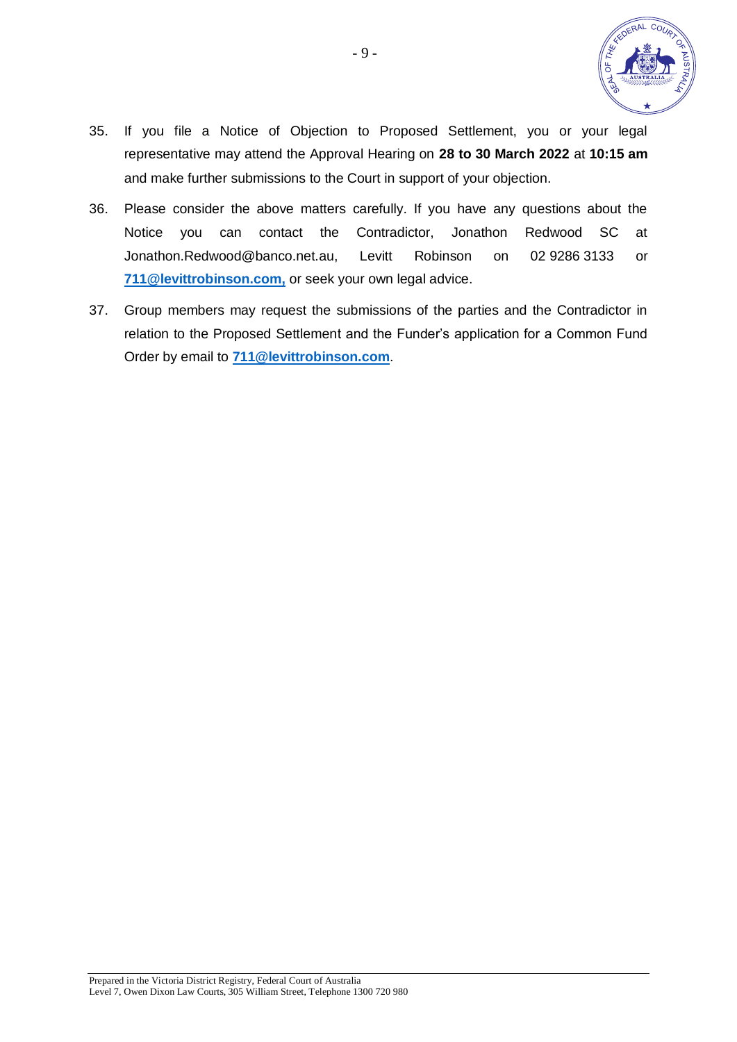

- 35. If you file a Notice of Objection to Proposed Settlement, you or your legal representative may attend the Approval Hearing on **28 to 30 March 2022** at **10:15 am** and make further submissions to the Court in support of your objection.
- 36. Please consider the above matters carefully. If you have any questions about the Notice you can contact the Contradictor, Jonathon Redwood SC at Jonathon.Redwood@banco.net.au, Levitt Robinson on 02 9286 3133 or **[711@levittrobinson.com,](mailto:711@levittrobinson.com)** or seek your own legal advice.
- 37. Group members may request the submissions of the parties and the Contradictor in relation to the Proposed Settlement and the Funder's application for a Common Fund Order by email to **[711@levittrobinson.com](mailto:711@levittrobinson.com)**.